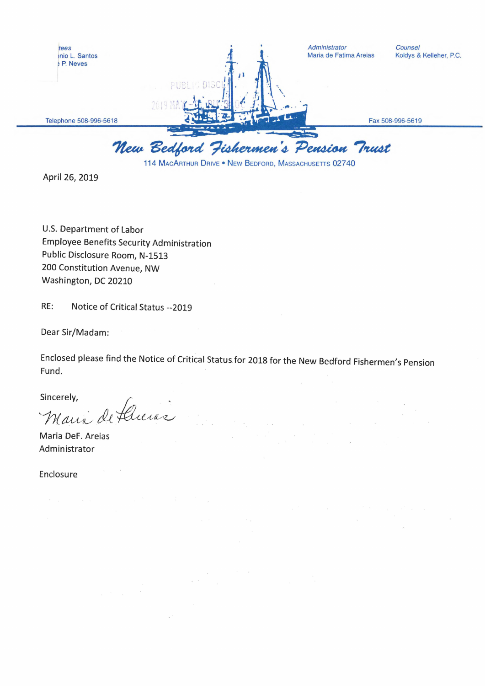

April 26, 2019

U.S. Department of Labor **Employee Benefits Security Administration** Public Disclosure Room, N-1513 200 Constitution Avenue, NW Washington, DC 20210

RE: Notice of Critical Status -- 2019

Dear Sir/Madam:

Enclosed please find the Notice of Critical Status for 2018 for the New Bedford Fishermen's Pension Fund.

Sincerely,

Maria de flucias

Maria DeF. Areias Administrator

Enclosure